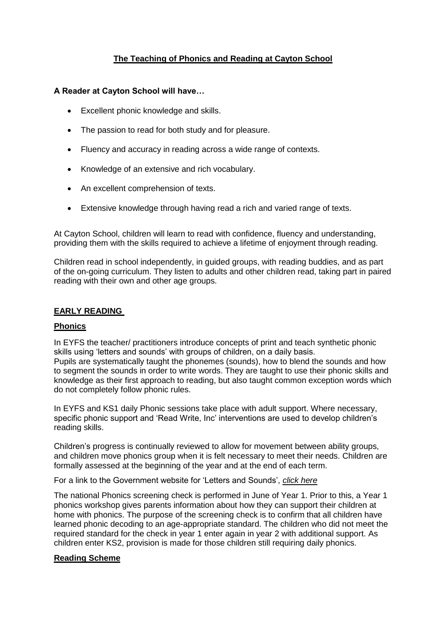# **The Teaching of Phonics and Reading at Cayton School**

# **A Reader at Cayton School will have…**

- Excellent phonic knowledge and skills.
- The passion to read for both study and for pleasure.
- Fluency and accuracy in reading across a wide range of contexts.
- Knowledge of an extensive and rich vocabulary.
- An excellent comprehension of texts.
- Extensive knowledge through having read a rich and varied range of texts.

At Cayton School, children will learn to read with confidence, fluency and understanding, providing them with the skills required to achieve a lifetime of enjoyment through reading.

Children read in school independently, in guided groups, with reading buddies, and as part of the on-going curriculum. They listen to adults and other children read, taking part in paired reading with their own and other age groups.

# **EARLY READING**

### **Phonics**

In EYFS the teacher/ practitioners introduce concepts of print and teach synthetic phonic skills using 'letters and sounds' with groups of children, on a daily basis. Pupils are systematically taught the phonemes (sounds), how to blend the sounds and how to segment the sounds in order to write words. They are taught to use their phonic skills and knowledge as their first approach to reading, but also taught common exception words which do not completely follow phonic rules.

In EYFS and KS1 daily Phonic sessions take place with adult support. Where necessary, specific phonic support and 'Read Write, Inc' interventions are used to develop children's reading skills.

Children's progress is continually reviewed to allow for movement between ability groups, and children move phonics group when it is felt necessary to meet their needs. Children are formally assessed at the beginning of the year and at the end of each term.

For a link to the Government website for 'Letters and Sounds', *click here*

The national Phonics screening check is performed in June of Year 1. Prior to this, a Year 1 phonics workshop gives parents information about how they can support their children at home with phonics. The purpose of the screening check is to confirm that all children have learned phonic decoding to an age-appropriate standard. The children who did not meet the required standard for the check in year 1 enter again in year 2 with additional support. As children enter KS2, provision is made for those children still requiring daily phonics.

### **Reading Scheme**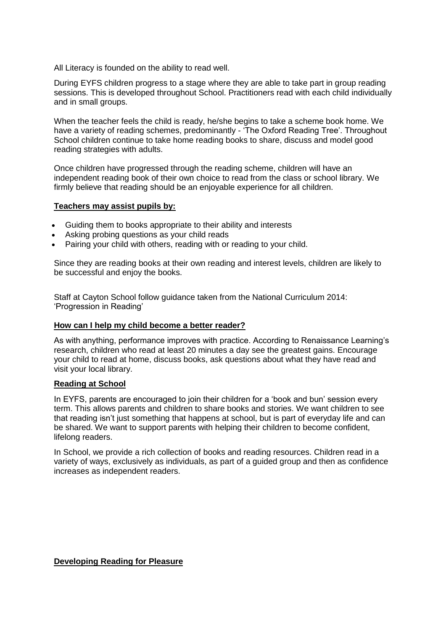All Literacy is founded on the ability to read well.

During EYFS children progress to a stage where they are able to take part in group reading sessions. This is developed throughout School. Practitioners read with each child individually and in small groups.

When the teacher feels the child is ready, he/she begins to take a scheme book home. We have a variety of reading schemes, predominantly - 'The Oxford Reading Tree'. Throughout School children continue to take home reading books to share, discuss and model good reading strategies with adults.

Once children have progressed through the reading scheme, children will have an independent reading book of their own choice to read from the class or school library. We firmly believe that reading should be an enjoyable experience for all children.

### **Teachers may assist pupils by:**

- Guiding them to books appropriate to their ability and interests
- Asking probing questions as your child reads
- Pairing your child with others, reading with or reading to your child.

Since they are reading books at their own reading and interest levels, children are likely to be successful and enjoy the books.

Staff at Cayton School follow guidance taken from the National Curriculum 2014: 'Progression in Reading'

#### **How can I help my child become a better reader?**

As with anything, performance improves with practice. According to Renaissance Learning's research, children who read at least 20 minutes a day see the greatest gains. Encourage your child to read at home, discuss books, ask questions about what they have read and visit your local library.

#### **Reading at School**

In EYFS, parents are encouraged to join their children for a 'book and bun' session every term. This allows parents and children to share books and stories. We want children to see that reading isn't just something that happens at school, but is part of everyday life and can be shared. We want to support parents with helping their children to become confident, lifelong readers.

In School, we provide a rich collection of books and reading resources. Children read in a variety of ways, exclusively as individuals, as part of a guided group and then as confidence increases as independent readers.